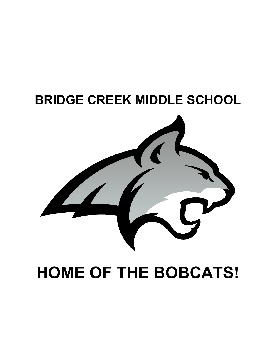

# **HOME OF THE BOBCATS!**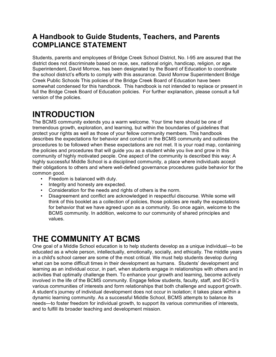### **A Handbook to Guide Students, Teachers, and Parents COMPLIANCE STATEMENT**

Students, parents and employees of Bridge Creek School District, No. I-95 are assured that the district does not discriminate based on race, sex, national origin, handicap, religion, or age. Superintendent, David Morrow, has been designated by the Board of Education to coordinate the school district's efforts to comply with this assurance. David Morrow Superintendent Bridge Creek Public Schools This policies of the Bridge Creek Board of Education have been somewhat condensed for this handbook. This handbook is not intended to replace or present in full the Bridge Creek Board of Education policies. For further explanation, please consult a full version of the policies.

# **INTRODUCTION**

The BCMS community extends you a warm welcome. Your time here should be one of tremendous growth, exploration, and learning, but within the boundaries of guidelines that protect your rights as well as those of your fellow community members. This handbook describes the expectations for behavior and conduct in the BCMS community and outlines the procedures to be followed when these expectations are not met. It is your road map, containing the policies and procedures that will guide you as a student while you live and grow in this community of highly motivated people. One aspect of the community is described this way: A highly successful Middle School is a disciplined community, a place where individuals accept their obligations to others and where well-defined governance procedures guide behavior for the common good.

- Freedom is balanced with duty.
- Integrity and honesty are expected.
- Consideration for the needs and rights of others is the norm.
- Disagreement and conflict are acknowledged in respectful discourse. While some will think of this booklet as a collection of policies, those policies are really the expectations for behavior that we have agreed upon as a community. So once again, welcome to the BCMS community. In addition, welcome to our community of shared principles and values.

# **THE COMMUNITY AT BCMS**

One goal of a Middle School education is to help students develop as a unique individual—to be educated as a whole person, intellectually, emotionally, socially, and ethically. The middle years in a child's school career are some of the most critical. We must help students develop during what can be some difficult times in their development as humans. Students' development and learning as an individual occur, in part, when students engage in relationships with others and in activities that optimally challenge them. To enhance your growth and learning, become actively involved in the life of the BCMS community. Engage fellow students, faculty, staff, and BC<S's various communities of interests and form relationships that both challenge and support growth. A student's journey of individual development does not occur in isolation; it takes place within a dynamic learning community. As a successful Middle School, BCMS attempts to balance its needs—to foster freedom for individual growth, to support its various communities of interests, and to fulfill its broader teaching and development mission.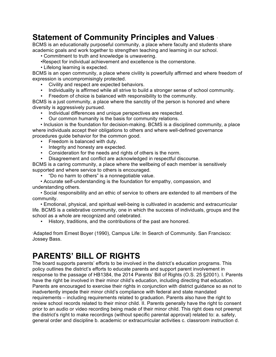### **Statement of Community Principles and Values** <sup>1</sup>

BCMS is an educationally purposeful community, a place where faculty and students share academic goals and work together to strengthen teaching and learning in our school.

• Commitment to truth and knowledge is unwavering.

- •Respect for individual achievement and excellence is the cornerstone.
- Lifelong learning is expected.

BCMS is an open community, a place where civility is powerfully affirmed and where freedom of expression is uncompromisingly protected.

- Civility and respect are expected behaviors.
- Individuality is affirmed while all strive to build a stronger sense of school community.
- Freedom of choice is balanced with responsibility to the community.

BCMS is a just community, a place where the sanctity of the person is honored and where diversity is aggressively pursued.

- Individual differences and unique perspectives are respected.
- Our common humanity is the basis for community relations.

• Inclusion is the foundation for decision-making. BCMS is a disciplined community, a place where individuals accept their obligations to others and where well-defined governance procedures guide behavior for the common good.

- Freedom is balanced with duty.
- Integrity and honesty are expected.
- Consideration for the needs and rights of others is the norm.
- Disagreement and conflict are acknowledged in respectful discourse.

BCMS is a caring community, a place where the wellbeing of each member is sensitively supported and where service to others is encouraged.

• "Do no harm to others" is a nonnegotiable value.

• Accurate self-understanding is the foundation for empathy, compassion, and understanding others.

• Social responsibility and an ethic of service to others are extended to all members of the community.

• Emotional, physical, and spiritual well-being is cultivated in academic and extracurricular life. BCMS is a celebrative community, one in which the success of individuals, groups and the school as a whole are recognized and celebrated.

• History, traditions, and the contributions of the past are honored.

Adapted from Ernest Boyer (1990), Campus Life: In Search of Community. San Francisco: Jossey Bass.

### **PARENTS' BILL OF RIGHTS**

The board supports parents' efforts to be involved in the district's education programs. This policy outlines the district's efforts to educate parents and support parent involvement in response to the passage of HB1384, the 2014 Parents' Bill of Rights (O.S. 25 §2001). I. Parents have the right be involved in their minor child's education, including directing that education. Parents are encouraged to exercise their rights in conjunction with district guidance so as not to inadvertently impede their minor child's compliance with federal and state mandated requirements – including requirements related to graduation. Parents also have the right to review school records related to their minor child. II. Parents generally have the right to consent prior to an audio or video recording being made of their minor child. This right does not preempt the district's right to make recordings (without specific parental approval) related to: a. safety, general order and discipline b. academic or extracurricular activities c. classroom instruction d.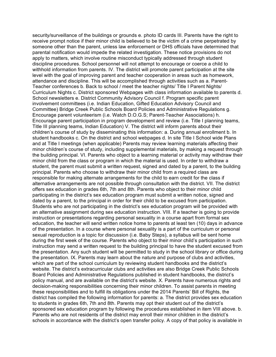security/surveillance of the buildings or grounds e. photo ID cards III. Parents have the right to receive prompt notice if their minor child is believed to be the victim of a crime perpetrated by someone other than the parent, unless law enforcement or DHS officials have determined that parental notification would impede the related investigation. These notice provisions do not apply to matters, which involve routine misconduct typically addressed through student discipline procedures. School personnel will not attempt to encourage or coerce a child to withhold information from parents. IV. The district will promote parent participation at the site level with the goal of improving parent and teacher cooperation in areas such as homework, attendance and discipline. This will be accomplished through activities such as a. Parent-Teacher conferences b. Back to school / meet the teacher nights/ Title I Parent Nights/ Curriculum Nights c. District sponsored Webpages with class information available to parents d. School newsletters e. District Community Advisory Council f. Program specific parent involvement committees (i.e. Indian Education, Gifted Education Advisory Council and Committee) Bridge Creek Public Schools Board Policies and Administrative Regulations g. Encourage parent volunteerism (i.e. Watch D.O.G.S; Parent-Teacher Associations) h. Encourage parent participation in program development and review (i.e. Title I planning teams, Title III planning teams, Indian Education) V. The district will inform parents about their children's course of study by disseminating this information: a. During annual enrollment b. In student handbooks c. On the district and school webpages d. In site Title I School wide Plans and at Title I meetings (when applicable) Parents may review learning materials affecting their minor children's course of study, including supplemental materials, by making a request through the building principal. VI. Parents who object to a learning material or activity may withdraw their minor child from the class or program in which the material is used. In order to withdraw a student, the parent must submit a written request, signed and dated by a parent, to the building principal. Parents who choose to withdraw their minor child from a required class are responsible for making alternate arrangements for the child to earn credit for the class if alternative arrangements are not possible through consultation with the district. VII. The district offers sex education in grades 6th, 7th and 8th. Parents who object to their minor child participating in the district's sex education program must submit a written notice, signed and dated by a parent, to the principal in order for their child to be excused from participation. Students who are not participating in the district's sex education program will be provided with an alternative assignment during sex education instruction. VIII. If a teacher is going to provide instruction or presentations regarding personal sexuality in a course apart from formal sex education, the teacher will send written notice home to parents at least ten (10) days in advance of the presentation. In a course where personal sexuality is a part of the curriculum or personal sexual reproduction is a topic for discussion (i.e. Baby Steps), a syllabus will be sent home during the first week of the course. Parents who object to their minor child's participation in such instruction may send a written request to the building principal to have the student excused from the presentation. Any such student will be permitted to study in the school library or office during the presentation. IX. Parents may learn about the nature and purpose of clubs and activities, which are part of the school curriculum by reviewing student handbooks and the district's website. The district's extracurricular clubs and activities are also Bridge Creek Public Schools Board Policies and Administrative Regulations published in student handbooks, the district's policy manual, and are available on the district's website. X. Parents have numerous rights and decision-making responsibilities concerning their minor children. To assist parents in meeting these responsibilities and to fulfill its obligations under the 2014 Parents' Bill of Rights, the district has compiled the following information for parents: a. The district provides sex education to students in grades 6th, 7th and 8th. Parents may opt their student out of the district's sponsored sex education program by following the procedures established in item VIII above. b. Parents who are not residents of the district may enroll their minor children in the district's schools in accordance with the district's open transfer policy. A copy of that policy is available in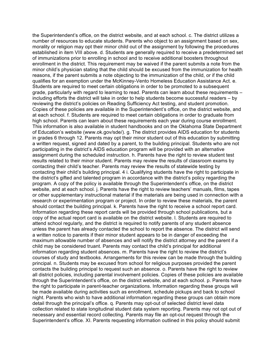the Superintendent's office, on the district website, and at each school. c. The district utilizes a number of resources to educate students. Parents who object to an assignment based on sex, morality or religion may opt their minor child out of the assignment by following the procedures established in item VIII above. d. Students are generally required to receive a predetermined set of immunizations prior to enrolling in school and to receive additional boosters throughout enrollment in the district. This requirement may be waived if the parent submits a note from the minor child's physician stating that the child should be excused from the immunization for health reasons, if the parent submits a note objecting to the immunization of the child, or if the child qualifies for an exemption under the McKinney-Vento Homeless Education Assistance Act. e. Students are required to meet certain obligations in order to be promoted to a subsequent grade, particularly with regard to learning to read. Parents can learn about these requirements – including efforts the district will take in order to help students become successful readers – by reviewing the district's policies on Reading Sufficiency Act testing, and student promotion. Copies of these policies are available in the Superintendent's office, on the district website, and at each school. f. Students are required to meet certain obligations in order to graduate from high school. Parents can learn about these requirements each year during course enrollment. This information is also available in student handbooks and on the Oklahoma State Department of Education's website (www.ok.gov/sde/). g. The district provides AIDS education for students in grades 6 through 12. Parents may opt their minor student out of this education by submitting a written request, signed and dated by a parent, to the building principal. Students who are not participating in the district's AIDS education program will be provided with an alternative assignment during the scheduled instruction. h. Parents have the right to review student test results related to their minor student. Parents may review the results of classroom exams by contacting their child's teacher. Parents may review the results of statewide testing by contacting their child's building principal. 4 i. Qualifying students have the right to participate in the district's gifted and talented program in accordance with the district's policy regarding the program. A copy of the policy is available through the Superintendent's office, on the district website, and at each school. j. Parents have the right to review teachers' manuals, films, tapes or other supplementary instructional material if the materials are being used in connection with a research or experimentation program or project. In order to review these materials, the parent should contact the building principal. k. Parents have the right to receive a school report card. Information regarding these report cards will be provided through school publications, but a copy of the actual report card is available on the district website. l. Students are required to attend school regularly, and the district is required to notify parents of any student absence unless the parent has already contacted the school to report the absence. The district will send a written notice to parents if their minor student appears to be in danger of exceeding the maximum allowable number of absences and will notify the district attorney and the parent if a child may be considered truant. Parents may contact the child's principal for additional information regarding student absences. m. Parents have the right to review the district's courses of study and textbooks. Arrangements for this review can be made through the building principal. n. Students may be excused from school for religious purposes provided the parent contacts the building principal to request such an absence. o. Parents have the right to review all district policies, including parental involvement policies. Copies of these policies are available through the Superintendent's office, on the district website, and at each school. p. Parents have the right to participate in parent-teacher organizations. Information regarding these groups will be made available during activities such as enrollment, schedule pickups and back to school night. Parents who wish to have additional information regarding these groups can obtain more detail through the principal's office. q. Parents may opt-out of selected district level data collection related to state longitudinal student data system reporting. Parents may not opt out of necessary and essential record collecting. Parents may file an opt-out request through the Superintendent's office. XI. Parents requesting information outlined in this policy should submit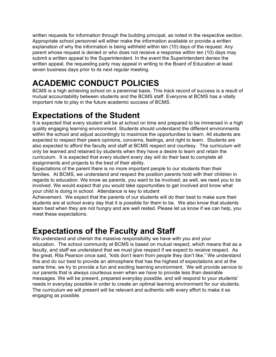written requests for information through the building principal, as noted in the respective section. Appropriate school personnel will either make the information available or provide a written explanation of why the information is being withheld within ten (10) days of the request. Any parent whose request is denied or who does not receive a response within ten (10) days may submit a written appeal to the Superintendent. In the event the Superintendent denies the written appeal, the requesting party may appeal in writing to the Board of Education at least seven business days prior to its next regular meeting.

# **ACADEMIC CONDUCT POLICIES**

BCMS is a high achieving school on a perennial basis. This track record of success is a result of mutual accountability between students and the BCMS staff. Everyone at BCMS has a vitally important role to play in the future academic success of BCMS.

### **Expectations of the Student**

It is expected that every student will be at school on time and prepared to be immersed in a high quality engaging learning environment. Students should understand the different environments within the school and adjust accordingly to maximize the opportunities to learn. All students are expected to respect their peers opinions, concerns, feelings, and right to learn. Students are also expected to afford the faculty and staff at BCMS respect and courtesy. The curriculum will only be learned and retained by students when they have a desire to learn and retain the curriculum. It is expected that every student every day will do their best to complete all assignments and projects to the best of their ability.

Expectations of the parent there is no more important people to our students than their families. At BCMS, we understand and respect the position parents hold with their children in regards to education. We know as parents, you want to be involved; as well, we need you to be involved. We would expect that you would take opportunities to get involved and know what your child is doing in school. Attendance is key to student

Achievement. We expect that the parents of our students will do their best to make sure their students are at school every day that it is possible for them to be. We also know that students learn best when they are not hungry and are well rested. Please let us know if we can help, you meet these expectations.

### **Expectations of the Faculty and Staff**

We understand and cherish the massive responsibility we have with you and your education. The school community at BCMS is based on mutual respect, which means that as a faculty, and staff we understand that we must give respect if we expect to receive respect. As the great, Rita Pearson once said, "kids don't learn from people they don't like." We understand this and do our best to provide an atmosphere that has the highest of expectations and at the same time, we try to provide a fun and exciting learning environment. We will provide service to our parents that is always courteous even when we have to provide less than desirable messages. We will be present, prepared everyday possible, and will respond to your students' needs in everyday possible in order to create an optimal learning environment for our students. The curriculum we will present will be relevant and authentic with every effort to make it as engaging as possible.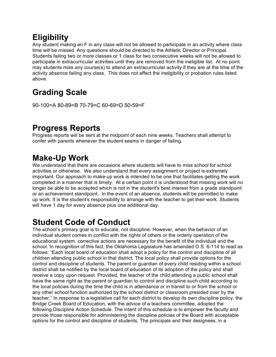# **Eligibility**

Any student making an F in any class will not be allowed to participate in an activity where class time will be missed. Any questions should be directed to the Athletic Director or Principal. Students failing two or more classes or 1 class for two consecutive weeks will not be allowed to participate in extracurricular activities until they are removed from the ineligible list. At no point may students miss any course(s) to attend an extracurricular activity if they are at the time of the activity absence failing any class. This does not affect the ineligibility or probation rules listed above.

# **Grading Scale**

90-100=A 80-89=B 70-79=C 60-69=D 50-59=F

# **Progress Reports**

Progress reports will be sent at the midpoint of each nine weeks. Teachers shall attempt to confer with parents whenever the student seems in danger of failing.

# **Make-Up Work**

We understand that there are occasions where students will have to miss school for school activities or otherwise. We also understand that every assignment or project is extremely important. Our approach to make-up work is intended to be one that facilitates getting the work completed in a manner that is timely. At a certain point it is understood that missing work will no longer be able to be accepted which is not in the student's best interest from a grade standpoint or an achievement standpoint. In the event of an absence, students will be permitted to make up work. It is the student's responsibility to arrange with the teacher to get their work. Students will have 1 day for every absence plus one additional day.

# **Student Code of Conduct**

The school's primary goal is to educate, not discipline. However, when the behavior of an individual student comes in conflict with the rights of others or the orderly operation of the educational system, corrective actions are necessary for the benefit of the individual and the school. In recognition of this fact, the Oklahoma Legislature has amended O.S. 6-114 to read as follows: "Each local board of education shall adopt a policy for the control and discipline of all children attending public school in that district. The local policy shall provide options for the control and discipline of students. The parent or guardian of every child residing within a school district shall be notified by the local board of education of its adoption of the policy and shall receive a copy upon request. Provided, the teacher of the child attending a public school shall have the same right as the parent or guardian to control and discipline such child according to the local policies during the time the child is in attendance or in transit to or from the school or any other school function authorized by the school district or classroom presided over by the teacher." In response to a legislative call for each district to develop its own discipline policy, the Bridge Creek Board of Education, with the advice of a teachers committee, adopted the following Discipline Action Schedule. The intent of this schedule is to empower the faculty and provide those responsible for administering the discipline policies of the Board with acceptable options for the control and discipline of students. The principals and their designees, in a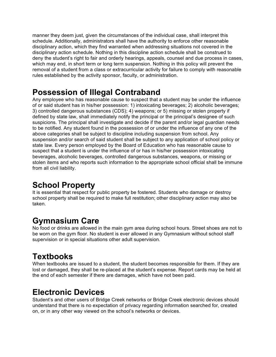manner they deem just, given the circumstances of the individual case, shall interpret this schedule. Additionally, administrators shall have the authority to enforce other reasonable disciplinary action, which they find warranted when addressing situations not covered in the disciplinary action schedule. Nothing in this discipline action schedule shall be construed to deny the student's right to fair and orderly hearings, appeals, counsel and due process in cases, which may end, in short term or long term suspension. Nothing in this policy will prevent the removal of a student from a class or extracurricular activity for failure to comply with reasonable rules established by the activity sponsor, faculty, or administration.

### **Possession of Illegal Contraband**

Any employee who has reasonable cause to suspect that a student may be under the influence of or said student has in his/her possession: 1) intoxicating beverages; 2) alcoholic beverages; 3) controlled dangerous substances (CDS); 4) weapons; or 5) missing or stolen property if defined by state law, shall immediately notify the principal or the principal's designee of such suspicions. The principal shall investigate and decide if the parent and/or legal guardian needs to be notified. Any student found in the possession of or under the influence of any one of the above categories shall be subject to discipline including suspension from school. Any suspension and/or search of said student shall be subject to any application of school policy or state law. Every person employed by the Board of Education who has reasonable cause to suspect that a student is under the influence of or has in his/her possession intoxicating beverages, alcoholic beverages, controlled dangerous substances, weapons, or missing or stolen items and who reports such information to the appropriate school official shall be immune from all civil liability.

### **School Property**

It is essential that respect for public property be fostered. Students who damage or destroy school property shall be required to make full restitution; other disciplinary action may also be taken.

### **Gymnasium Care**

No food or drinks are allowed in the main gym area during school hours. Street shoes are not to be worn on the gym floor. No student is ever allowed in any Gymnasium without school staff supervision or in special situations other adult supervision.

### **Textbooks**

When textbooks are issued to a student, the student becomes responsible for them. If they are lost or damaged, they shall be re-placed at the student's expense. Report cards may be held at the end of each semester if there are damages, which have not been paid.

### **Electronic Devices**

Student's and other users of Bridge Creek networks or Bridge Creek electronic devices should understand that there is no expectation of privacy regarding information searched for, created on, or in any other way viewed on the school's networks or devices.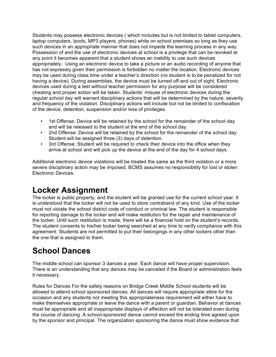Students may possess electronic devices ( which includes but is not limited to tablet computers, laptop computers, Ipods, MP3 players, phones) while on school premises so long as they use such devices in an appropriate manner that does not impede the learning process in any way. Possession of and the use of electronic devices at school is a privilege that can be revoked at any point it becomes apparent that a student shows an inability to use such devices appropriately. Using an electronic device to take a picture or an audio recording of anyone that has not expressly given their permission is forbidden no matter the location. Electronic devices may be used during class time under a teacher's direction (no student is to be penalized for not having a device). During assemblies, the device must be turned off and out of sight. Electronic devices used during a test without teacher permission for any purpose will be considered cheating and proper action will be taken. Students' misuse of electronic devices during the regular school day will warrant disciplinary actions that will be determined by the nature, severity and frequency of the violation. Disciplinary actions will include but not be limited to confiscation of the device, detention, suspension and/or loss of privileges.

- 1st Offense: Device will be retained by the school for the remainder of the school day and will be released to the student at the end of the school day.
- 2nd Offense: Device will be retained by the school for the remainder of the school day Student will be assigned three (3) days of detention.
- 3rd Offense: Student will be required to check their device into the office when they arrive at school and will pick up the device at the end of the day for 4 school days.

Additional electronic device violations will be treated the same as the third violation or a more severe disciplinary action may be imposed. BCMS assumes no responsibility for lost or stolen Electronic Devices.

### **Locker Assignment**

The locker is public property, and the student will be granted use for the current school year. It is understood that the locker will not be used to store contraband of any kind. Use of the locker must not violate the school district code of conduct or criminal law. The student is responsible for reporting damage to the locker and will make restitution for the repair and maintenance of the locker. Until such restitution is made, there will be a financial hold on the student's records. The student consents to his/her locker being searched at any time to verify compliance with this agreement. Students are not permitted to put their belongings in any other lockers other than the one that is assigned to them.

# **School Dances**

The middle school can sponsor 3 dances a year. Each dance will have proper supervision. There is an understanding that any dances may be canceled if the Board or administration feels it necessary.

Rules for Dances For the safety reasons on Bridge Creek Middle School students will be allowed to attend school sponsored dances. All dances will require appropriate attire for the occasion and any students not meeting this appropriateness requirement will either have to make themselves appropriate or leave the dance with a parent or guardian. Behavior at dances must be appropriate and all inappropriate displays of affection will not be tolerated even during the course of dancing. A school-sponsored dance cannot exceed the ending time agreed upon by the sponsor and principal. The organization sponsoring the dance must show evidence that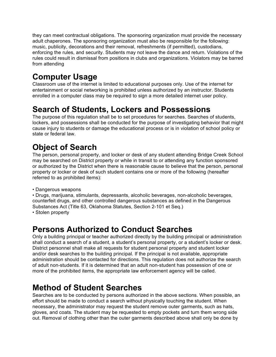they can meet contractual obligations. The sponsoring organization must provide the necessary adult chaperones. The sponsoring organization must also be responsible for the following: music, publicity, decorations and their removal, refreshments (if permitted), custodians, enforcing the rules, and security. Students may not leave the dance and return. Violations of the rules could result in dismissal from positions in clubs and organizations. Violators may be barred from attending

# **Computer Usage**

Classroom use of the internet is limited to educational purposes only. Use of the internet for entertainment or social networking is prohibited unless authorized by an instructor. Students enrolled in a computer class may be required to sign a more detailed internet user policy.

# **Search of Students, Lockers and Possessions**

The purpose of this regulation shall be to set procedures for searches. Searches of students, lockers, and possessions shall be conducted for the purpose of investigating behavior that might cause injury to students or damage the educational process or is in violation of school policy or state or federal law.

# **Object of Search**

The person, personal property, and locker or desk of any student attending Bridge Creek School may be searched on District property or while in transit to or attending any function sponsored or authorized by the District when there is reasonable cause to believe that the person, personal property or locker or desk of such student contains one or more of the following (hereafter referred to as prohibited items):

• Dangerous weapons

• Drugs, marijuana, stimulants, depressants, alcoholic beverages, non-alcoholic beverages, counterfeit drugs, and other controlled dangerous substances as defined in the Dangerous Substances Act (Title 63, Oklahoma Statutes, Section 2-101 et Seq.)

• Stolen property

### **Persons Authorized to Conduct Searches**

Only a building principal or teacher authorized directly by the building principal or administration shall conduct a search of a student, a student's personal property, or a student's locker or desk. District personnel shall make all requests for student personal property and student locker and/or desk searches to the building principal. If the principal is not available, appropriate administration should be contacted for directions. This regulation does not authorize the search of adult non-students. If it is determined that an adult non-student has possession of one or more of the prohibited items, the appropriate law enforcement agency will be called.

### **Method of Student Searches**

Searches are to be conducted by persons authorized in the above sections. When possible, an effort should be made to conduct a search without physically touching the student. When necessary, the administrator may request the student remove outer garments, such as hats, gloves, and coats. The student may be requested to empty pockets and turn them wrong side out. Removal of clothing other than the outer garments described above shall only be done by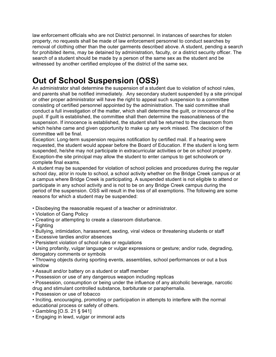law enforcement officials who are not District personnel. In instances of searches for stolen property, no requests shall be made of law enforcement personnel to conduct searches by removal of clothing other than the outer garments described above. A student, pending a search for prohibited items, may be detained by administration, faculty, or a district security officer. The search of a student should be made by a person of the same sex as the student and be witnessed by another certified employee of the district of the same sex.

# **Out of School Suspension (OSS)**

An administrator shall determine the suspension of a student due to violation of school rules, and parents shall be notified immediately. Any secondary student suspended by a site principal or other proper administrator will have the right to appeal such suspension to a committee consisting of certified personnel appointed by the administration. The said committee shall conduct a full investigation of the matter, which shall determine the guilt, or innocence of the pupil. If guilt is established, the committee shall then determine the reasonableness of the suspension. If innocence is established, the student shall be returned to the classroom from which he/she came and given opportunity to make up any work missed. The decision of the committee will be final.

Exception: Long-term suspension requires notification by certified mail. If a hearing were requested, the student would appear before the Board of Education. If the student is long term suspended, he/she may not participate in extracurricular activities or be on school property. Exception-the site principal may allow the student to enter campus to get schoolwork or complete final exams.

A student may be suspended for violation of school policies and procedures during the regular school day, at/or in route to school, a school activity whether on the Bridge Creek campus or at a campus where Bridge Creek is participating. A suspended student is not eligible to attend or participate in any school activity and is not to be on any Bridge Creek campus during the period of the suspension. OSS will result in the loss of all exemptions. The following are some reasons for which a student may be suspended:

- Disobeying the reasonable request of a teacher or administrator.
- Violation of Gang Policy
- Creating or attempting to create a classroom disturbance.
- Fighting
- Bullying, intimidation, harassment, sexting, viral videos or threatening students or staff
- Excessive tardies and/or absences
- Persistent violation of school rules or regulations
- Using profanity, vulgar language or vulgar expressions or gesture; and/or rude, degrading, derogatory comments or symbols
- Throwing objects during sporting events, assemblies, school performances or out a bus window
- Assault and/or battery on a student or staff member
- Possession or use of any dangerous weapon including replicas
- Possession, consumption or being under the influence of any alcoholic beverage, narcotic drug and stimulant controlled substance, barbiturate or paraphernalia.
- Possession or use of tobacco
- Inciting, encouraging, promoting or participation in attempts to interfere with the normal educational process or safety of others.
- Gambling [O.S. 21 § 941]
- Engaging in lewd, vulgar or immoral acts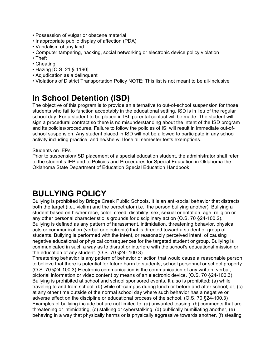- Possession of vulgar or obscene material
- Inappropriate public display of affection (PDA)
- Vandalism of any kind
- Computer tampering, hacking, social networking or electronic device policy violation
- Theft
- Cheating
- Hazing [O.S. 21 § 1190]
- Adjudication as a delinquent
- Violations of District Transportation Policy NOTE: This list is not meant to be all-inclusive

# **In School Detention (ISD)**

The objective of this program is to provide an alternative to out-of-school suspension for those students who fail to function acceptably in the educational setting. ISD is in lieu of the regular school day. For a student to be placed in ISI, parental contact will be made. The student will sign a procedural contract so there is no misunderstanding about the intent of the ISD program and its policies/procedures. Failure to follow the policies of ISI will result in immediate out-ofschool suspension. Any student placed in ISD will not be allowed to participate in any school activity including practice, and he/she will lose all semester tests exemptions.

#### Students on IEPs

Prior to suspension/ISD placement of a special education student, the administrator shall refer to the student's IEP and to Policies and Procedures for Special Education in Oklahoma the Oklahoma State Department of Education Special Education Handbook

### **BULLYING POLICY**

Bullying is prohibited by Bridge Creek Public Schools. It is an anti-social behavior that distracts both the target (i.e., victim) and the perpetrator (i.e., the person bullying another). Bullying a student based on his/her race, color, creed, disability, sex, sexual orientation, age, religion or any other personal characteristic is grounds for disciplinary action (O.S. 70 §24-100.2). Bullying is defined as any pattern of harassment, intimidation, threatening behavior, physical acts or communication (verbal or electronic) that is directed toward a student or group of students. Bullying is performed with the intent, or reasonably perceived intent, of causing negative educational or physical consequences for the targeted student or group. Bullying is communicated in such a way as to disrupt or interfere with the school's educational mission or the education of any student. (O.S. 70 §24- 100.3)

Threatening behavior is any pattern of behavior or action that would cause a reasonable person to believe that there is potential for future harm to students, school personnel or school property. (O.S. 70 §24-100.3) Electronic communication is the communication of any written, verbal, pictorial information or video content by means of an electronic device. (O.S. 70 §24-100.3) Bullying is prohibited at school and school sponsored events. It also is prohibited: (a) while traveling to and from school; (b) while off-campus during lunch or before and after school; or, (c) at any other time outside of the normal school day where such behavior has a negative or adverse effect on the discipline or educational process of the school. (O.S. 70 §24-100.3) Examples of bullying include but are not limited to: (a) unwanted teasing, (b) comments that are threatening or intimidating, (c) stalking or cyberstalking, (d) publically humiliating another, (e) behaving in a way that physically harms or is physically aggressive towards another, (f) stealing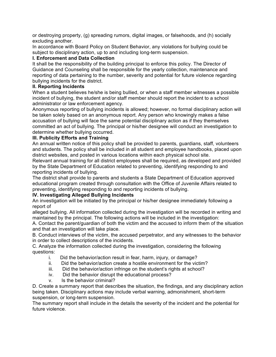or destroying property, (g) spreading rumors, digital images, or falsehoods, and (h) socially excluding another.

In accordance with Board Policy on Student Behavior, any violations for bullying could be subject to disciplinary action, up to and including long-term suspension.

#### **I. Enforcement and Data Collection**

It shall be the responsibility of the building principal to enforce this policy. The Director of Guidance and Counseling shall be responsible for the yearly collection, maintenance and reporting of data pertaining to the number, severity and potential for future violence regarding bullying incidents for the district.

#### **II. Reporting Incidents**

When a student believes he/she is being bullied, or when a staff member witnesses a possible incident of bullying, the student and/or staff member should report the incident to a school administrator or law enforcement agency.

Anonymous reporting of bullying incidents is allowed; however, no formal disciplinary action will be taken solely based on an anonymous report. Any person who knowingly makes a false accusation of bullying will face the same potential disciplinary action as if they themselves committed an act of bullying. The principal or his/her designee will conduct an investigation to determine whether bullying occurred.

#### **III. Publicity Efforts and Training**

An annual written notice of this policy shall be provided to parents, guardians, staff, volunteers and students. The policy shall be included in all student and employee handbooks, placed upon district websites, and posted in various locations within each physical school site.

Relevant annual training for all district employees shall be required, as developed and provided by the State Department of Education related to preventing, identifying responding to and reporting incidents of bullying.

The district shall provide to parents and students a State Department of Education approved educational program created through consultation with the Office of Juvenile Affairs related to preventing, identifying responding to and reporting incidents of bullying.

#### **IV. Investigating Alleged Bullying Incidents**

An investigation will be initiated by the principal or his/her designee immediately following a report of

alleged bullying. All information collected during the investigation will be recorded in writing and maintained by the principal. The following actions will be included in the investigation:

A. Contact the parent/guardian of both the victim and the accused to inform them of the situation and that an investigation will take place.

B. Conduct interviews of the victim, the accused perpetrator, and any witnesses to the behavior in order to collect descriptions of the incidents.

C. Analyze the information collected during the investigation, considering the following questions:

- i. Did the behavior/action result in fear, harm, injury, or damage?
- ii. Did the behavior/action create a hostile environment for the victim?
- iii. Did the behavior/action infringe on the student's rights at school?
- iv. Did the behavior disrupt the educational process?
- v. Is the behavior criminal?

D. Create a summary report that describes the situation, the findings, and any disciplinary action being taken. Disciplinary actions may include verbal warning, admonishment, short-term suspension, or long-term suspension.

The summary report shall include in the details the severity of the incident and the potential for future violence.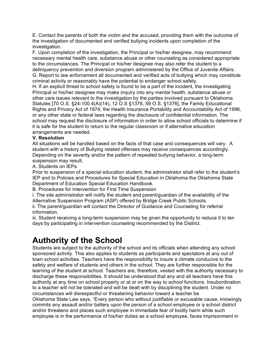E. Contact the parents of both the victim and the accused, providing them with the outcome of the investigation of documented and verified bullying incidents upon completion of the investigation.

F. Upon completion of the investigation, the Principal or his/her designee, may recommend necessary mental health care, substance abuse or other counseling as considered appropriate to the circumstances. The Principal or his/her designee may also refer the student to a delinquency prevention and diversion program administered by the Office of Juvenile Affairs. G. Report to law enforcement all documented and verified acts of bullying which may constitute criminal activity or reasonably have the potential to endanger school safety.

H. If an explicit threat to school safety is found to be a part of the incident, the investigating Principal or his/her designee may make inquiry into any mental health, substance abuse or other care issues relevant to the investigation by the parties involved pursuant to Oklahoma Statutes [70 O.S. §24-100.4(A)(14), 12 O.S §1376, 59 O.S. §1376], the Family Educational Rights and Privacy Act of 1974, the Health Insurance Portability and Accountability Act of 1996, or any other state or federal laws regarding the disclosure of confidential information. The school may request the disclosure of information in order to allow school officials to determine if it is safe for the student to return to the regular classroom or if alternative education arrangements are needed.

#### **V. Resolution**

All situations will be handled based on the facts of that case and consequences will vary. A student with a history of Bullying related offenses may receive consequences accordingly. Depending on the severity and/or the pattern of repeated bullying behavior, a long-term suspension may result.

#### A. Students on IEPs

Prior to suspension of a special education student, the administrator shall refer to the student's IEP and to Policies and Procedures for Special Education in Oklahoma the Oklahoma State Department of Education Special Education Handbook.

B. Procedures for Intervention for First Time Suspension

i. The site administrator will notify the student and parent/guardian of the availability of the Alternative Suspension Program (ASP) offered by Bridge Creek Public Schools.

ii. The parent/guardian will contact the Director of Guidance and Counseling for referral information.

iii. Student receiving a long-term suspension may be given the opportunity to reduce it to ten days by participating in intervention counseling recommended by the District.

### **Authority of the School**

Students are subject to the authority of the school and its officials when attending any school sponsored activity. This also applies to students as participants and spectators at any out of town school activities. Teachers have the responsibility to insure a climate conducive to the safety and welfare of students and others in the school. They are further responsible for the learning of the student at school. Teachers are, therefore, vested with the authority necessary to discharge these responsibilities. It should be understood that any and all teachers have this authority at any time on school property or at or on the way to school functions. Insubordination to a teacher will not be tolerated and will be dealt with by disciplining the student. Under no circumstances will disrespectful or threatening behavior toward a teacher be Oklahoma State Law says, "Every person who without justifiable or excusable cause, knowingly commits any assault and/or battery upon the person of a school employee or a school district and/or threatens and places such employee in immediate fear of bodily harm while such employee is in the performance of his/her duties as a school employee, faces imprisonment in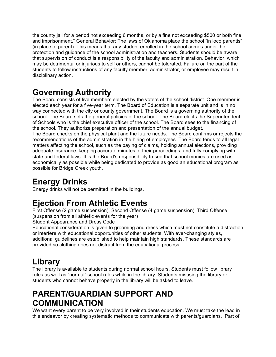the county jail for a period not exceeding 6 months, or by a fine not exceeding \$500 or both fine and imprisonment." General Behavior: The laws of Oklahoma place the school "in loco parentis" (in place of parent). This means that any student enrolled in the school comes under the protection and guidance of the school administration and teachers. Students should be aware that supervision of conduct is a responsibility of the faculty and administration. Behavior, which may be detrimental or injurious to self or others, cannot be tolerated. Failure on the part of the students to follow instructions of any faculty member, administrator, or employee may result in disciplinary action.

# **Governing Authority**

The Board consists of five members elected by the voters of the school district. One member is elected each year for a five-year term. The Board of Education is a separate unit and is in no way connected with the city or county government. The Board is a governing authority of the school. The Board sets the general policies of the school. The Board elects the Superintendent of Schools who is the chief executive officer of the school. The Board sees to the financing of the school. They authorize preparation and presentation of the annual budget. The Board checks on the physical plant and the future needs. The Board confirms or rejects the recommendations of the administration in the hiring of employees. The Board tends to all legal matters affecting the school, such as the paying of claims, holding annual elections, providing

adequate insurance, keeping accurate minutes of their proceedings, and fully complying with state and federal laws. It is the Board's responsibility to see that school monies are used as economically as possible while being dedicated to provide as good an educational program as possible for Bridge Creek youth.

# **Energy Drinks**

Energy drinks will not be permitted in the buildings.

# **Ejection From Athletic Events**

First Offense (2 game suspension), Second Offense (4 game suspension), Third Offense (suspension from all athletic events for the year)

Student Appearance and Dress Code

Educational consideration is given to grooming and dress which must not constitute a distraction or interfere with educational opportunities of other students. With ever-changing styles, additional guidelines are established to help maintain high standards. These standards are provided so clothing does not distract from the educational process.

# **Library**

The library is available to students during normal school hours. Students must follow library rules as well as "normal" school rules while in the library. Students misusing the library or students who cannot behave properly in the library will be asked to leave.

# **PARENT/GUARDIAN SUPPORT AND COMMUNICATION**

We want every parent to be very involved in their students education. We must take the lead in this endeavor by creating systematic methods to communicate with parents/guardians. Part of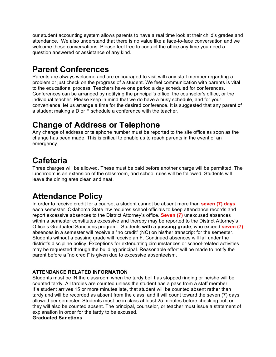our student accounting system allows parents to have a real time look at their child's grades and attendance. We also understand that there is no value like a face-to-face conversation and we welcome these conversations. Please feel free to contact the office any time you need a question answered or assistance of any kind.

# **Parent Conferences**

Parents are always welcome and are encouraged to visit with any staff member regarding a problem or just check on the progress of a student. We feel communication with parents is vital to the educational process. Teachers have one period a day scheduled for conferences. Conferences can be arranged by notifying the principal's office, the counselor's office, or the individual teacher. Please keep in mind that we do have a busy schedule, and for your convenience, let us arrange a time for the desired conference. It is suggested that any parent of a student making a D or F schedule a conference with the teacher.

### **Change of Address or Telephone**

Any change of address or telephone number must be reported to the site office as soon as the change has been made. This is critical to enable us to reach parents in the event of an emergency.

### **Cafeteria**

Three charges will be allowed. These must be paid before another charge will be permitted. The lunchroom is an extension of the classroom, and school rules will be followed. Students will leave the dining area clean and neat.

# **Attendance Policy**

In order to receive credit for a course, a student cannot be absent more than **seven (7) days** each semester. Oklahoma State law requires school officials to keep attendance records and report excessive absences to the District Attorney's office. **Seven (7)** unexcused absences within a semester constitutes excessive and thereby may be reported to the District Attorney's Office's Graduated Sanctions program. Students **with a passing grade**, who exceed **seven (7)** absences in a semester will receive a "no credit" (NC) on his/her transcript for the semester. Students without a passing grade will receive an F. Continued absences will fall under the district's discipline policy. Exceptions for extenuating circumstances or school-related activities may be requested through the building principal. Reasonable effort will be made to notify the parent before a "no credit" is given due to excessive absenteeism.

#### **ATTENDANCE RELATED INFORMATION**

Students must be IN the classroom when the tardy bell has stopped ringing or he/she will be counted tardy. All tardies are counted unless the student has a pass from a staff member. If a student arrives 15 or more minutes late, that student will be counted absent rather than tardy and will be recorded as absent from the class, and it will count toward the seven (7) days allowed per semester. Students must be in class at least 25 minutes before checking out, or they will also be counted absent. The principal, counselor, or teacher must issue a statement of explanation in order for the tardy to be excused.

#### **Graduated Sanctions**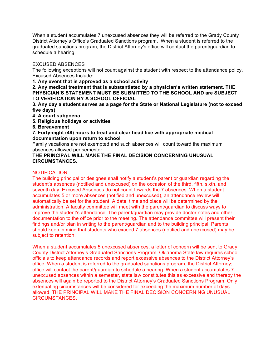When a student accumulates 7 unexcused absences they will be referred to the Grady County District Attorney's Office's Graduated Sanctions program. When a student is referred to the graduated sanctions program, the District Attorney's office will contact the parent/guardian to schedule a hearing.

#### EXCUSED ABSENCES

The following exceptions will not count against the student with respect to the attendance policy. Excused Absences Include:

**1. Any event that is approved as a school activity** 

**2. Any medical treatment that is substantiated by a physician's written statement. THE PHYSICIAN'S STATEMENT MUST BE SUBMITTED TO THE SCHOOL AND are SUBJECT TO VERIFICATION BY A SCHOOL OFFICIAL** 

**3. Any day a student serves as a page for the State or National Legislature (not to exceed five days)** 

- **4. A court subpoena**
- **5. Religious holidays or activities**

**6. Bereavement** 

**7. Forty-eight (48) hours to treat and clear head lice with appropriate medical documentation upon return to school** 

Family vacations are not exempted and such absences will count toward the maximum absences allowed per semester.

#### **THE PRINCIPAL WILL MAKE THE FINAL DECISION CONCERNING UNUSUAL CIRCUMSTANCES.**

#### NOTIFICATION:

The building principal or designee shall notify a student's parent or guardian regarding the student's absences (notified and unexcused) on the occasion of the third, fifth, sixth, and seventh day. Excused Absences do not count towards the 7 absences. When a student accumulates 5 or more absences (notified and unexcused), an attendance review will automatically be set for the student. A date, time and place will be determined by the administration. A faculty committee will meet with the parent/guardian to discuss ways to improve the student's attendance. The parent/guardian may provide doctor notes and other documentation to the office prior to the meeting. The attendance committee will present their findings and/or plan in writing to the parent/guardian and to the building principal. Parents should keep in mind that students who exceed 7 absences (notified and unexcused) may be subject to retention.

When a student accumulates 5 unexcused absences, a letter of concern will be sent to Grady County District Attorney's Graduated Sanctions Program. Oklahoma State law requires school officials to keep attendance records and report excessive absences to the District Attorney's office. When a student is referred to the graduated sanctions program, the District Attorney; office will contact the parent/guardian to schedule a hearing. When a student accumulates 7 unexcused absences within a semester, state law constitutes this as excessive and thereby the absences will again be reported to the District Attorney's Graduated Sanctions Program. Only extenuating circumstances will be considered for exceeding the maximum number of days allowed. THE PRINCIPAL WILL MAKE THE FINAL DECISION CONCERNING UNUSUAL CIRCUMSTANCES.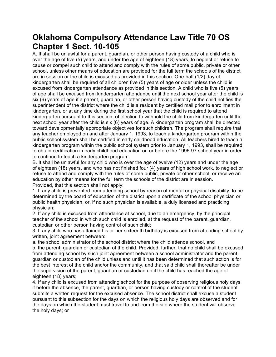### **Oklahoma Compulsory Attendance Law Title 70 OS Chapter 1 Sect. 10-105**

A. It shall be unlawful for a parent, guardian, or other person having custody of a child who is over the age of five (5) years, and under the age of eighteen (18) years, to neglect or refuse to cause or compel such child to attend and comply with the rules of some public, private or other school, unless other means of education are provided for the full term the schools of the district are in session or the child is excused as provided in this section. One-half (1/2) day of kindergarten shall be required of all children five (5) years of age or older unless the child is excused from kindergarten attendance as provided in this section. A child who is five (5) years of age shall be excused from kindergarten attendance until the next school year after the child is six (6) years of age if a parent, guardian, or other person having custody of the child notifies the superintendent of the district where the child is a resident by certified mail prior to enrollment in kindergarten, or at any time during the first school year that the child is required to attend kindergarten pursuant to this section, of election to withhold the child from kindergarten until the next school year after the child is six (6) years of age. A kindergarten program shall be directed toward developmentally appropriate objectives for such children. The program shall require that any teacher employed on and after January 1, 1993, to teach a kindergarten program within the public school system shall be certified in early childhood education. All teachers hired to teach a kindergarten program within the public school system prior to January 1, 1993, shall be required to obtain certification in early childhood education on or before the 1996-97 school year in order to continue to teach a kindergarten program.

B. It shall be unlawful for any child who is over the age of twelve (12) years and under the age of eighteen (18) years, and who has not finished four (4) years of high school work, to neglect or refuse to attend and comply with the rules of some public, private or other school, or receive an education by other means for the full term the schools of the district are in session. Provided, that this section shall not apply:

1. If any child is prevented from attending school by reason of mental or physical disability, to be determined by the board of education of the district upon a certificate of the school physician or public health physician, or, if no such physician is available, a duly licensed and practicing physician;

2. If any child is excused from attendance at school, due to an emergency, by the principal teacher of the school in which such child is enrolled, at the request of the parent, guardian, custodian or other person having control of such child;

3. If any child who has attained his or her sixteenth birthday is excused from attending school by written, joint agreement between:

a. the school administrator of the school district where the child attends school, and

b. the parent, guardian or custodian of the child. Provided, further, that no child shall be excused from attending school by such joint agreement between a school administrator and the parent, guardian or custodian of the child unless and until it has been determined that such action is for the best interest of the child and/or the community, and that said child shall thereafter be under the supervision of the parent, guardian or custodian until the child has reached the age of eighteen (18) years;

4. If any child is excused from attending school for the purpose of observing religious holy days if before the absence, the parent, guardian, or person having custody or control of the student submits a written request for the excused absence. The school district shall excuse a student pursuant to this subsection for the days on which the religious holy days are observed and for the days on which the student must travel to and from the site where the student will observe the holy days; or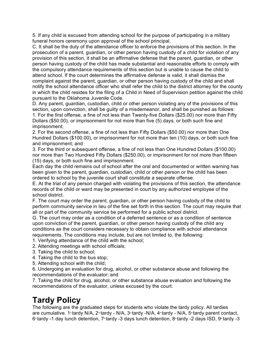5. If any child is excused from attending school for the purpose of participating in a military funeral honors ceremony upon approval of the school principal.

C. It shall be the duty of the attendance officer to enforce the provisions of this section. In the prosecution of a parent, guardian, or other person having custody of a child for violation of any provision of this section, it shall be an affirmative defense that the parent, guardian, or other person having custody of the child has made substantial and reasonable efforts to comply with the compulsory attendance requirements of this section but is unable to cause the child to attend school. If the court determines the affirmative defense is valid, it shall dismiss the complaint against the parent, guardian, or other person having custody of the child and shall notify the school attendance officer who shall refer the child to the district attorney for the county in which the child resides for the filing of a Child in Need of Supervision petition against the child pursuant to the Oklahoma Juvenile Code.

D. Any parent, guardian, custodian, child or other person violating any of the provisions of this section, upon conviction, shall be guilty of a misdemeanor, and shall be punished as follows: 1. For the first offense, a fine of not less than Twenty-five Dollars (\$25.00) nor more than Fifty Dollars (\$50.00), or imprisonment for not more than five (5) days, or both such fine and imprisonment;

2. For the second offense, a fine of not less than Fifty Dollars (\$50.00) nor more than One Hundred Dollars (\$100.00), or imprisonment for not more than ten (10) days, or both such fine and imprisonment; and

3. For the third or subsequent offense, a fine of not less than One Hundred Dollars (\$100.00) nor more than Two Hundred Fifty Dollars (\$250.00), or imprisonment for not more than fifteen (15) days, or both such fine and imprisonment.

Each day the child remains out of school after the oral and documented or written warning has been given to the parent, guardian, custodian, child or other person or the child has been ordered to school by the juvenile court shall constitute a separate offense.

E. At the trial of any person charged with violating the provisions of this section, the attendance records of the child or ward may be presented in court by any authorized employee of the school district.

F. The court may order the parent, guardian, or other person having custody of the child to perform community service in lieu of the fine set forth in this section. The court may require that all or part of the community service be performed for a public school district.

G. The court may order as a condition of a deferred sentence or as a condition of sentence upon conviction of the parent, guardian, or other person having custody of the child any conditions as the court considers necessary to obtain compliance with school attendance requirements. The conditions may include, but are not limited to, the following:

1. Verifying attendance of the child with the school;

2. Attending meetings with school officials;

3. Taking the child to school;

4. Taking the child to the bus stop;

5. Attending school with the child;

6. Undergoing an evaluation for drug, alcohol, or other substance abuse and following the recommendations of the evaluator; and

7. Taking the child for drug, alcohol, or other substance abuse evaluation and following the recommendations of the evaluator, unless excused by the court.

# **Tardy Policy**

The following are the graduated steps for students who violate the tardy policy. All tardies are cumulative. 1st tardy N/A, 2<sup>nd</sup> tardy - N/A, 3stardy -N/A, 4stardy - N/A, 5stardy parent contact, 6<sup>th</sup> tardy -1 day lunch detention, 7<sup>th</sup> tardy -3 days lunch detention, 8<sup>th</sup> tardy -2 days ISD, 9<sup>th</sup> tardy -3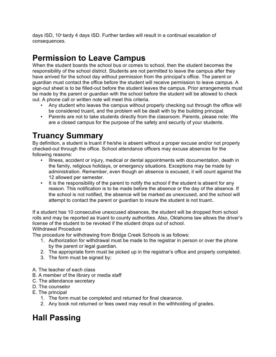days ISD, 10<sup>th</sup> tardy 4 days ISD. Further tardies will result in a continual escalation of consequences.

# **Permission to Leave Campus**

When the student boards the school bus or comes to school, then the student becomes the responsibility of the school district. Students are not permitted to leave the campus after they have arrived for the school day without permission from the principal's office. The parent or guardian must contact the office before the student will receive permission to leave campus. A sign-out sheet is to be filled-out before the student leaves the campus. Prior arrangements must be made by the parent or guardian with the school before the student will be allowed to check out. A phone call or written note will meet this criteria.

- Any student who leaves the campus without properly checking out through the office will be considered truant, and the problem will be dealt with by the building principal.
- Parents are not to take students directly from the classroom. Parents, please note: We are a closed campus for the purpose of the safety and security of your students.

# **Truancy Summary**

By definition, a student is truant if he/she is absent without a proper excuse and/or not properly checked-out through the office. School attendance officers may excuse absences for the following reasons:

- Illness, accident or injury, medical or dental appointments with documentation, death in the family, religious holidays, or emergency situations. Exceptions may be made by administration. Remember, even though an absence is excused, it will count against the 12 allowed per semester.
- It is the responsibility of the parent to notify the school if the student is absent for any reason. This notification is to be made before the absence or the day of the absence. If the school is not notified, the absence will be marked as unexcused, and the school will attempt to contact the parent or guardian to insure the student is not truant..

If a student has 10 consecutive unexcused absences, the student will be dropped from school rolls and may be reported as truant to county authorities. Also, Oklahoma law allows the driver's license of the student to be revoked if the student drops out of school. Withdrawal Procedure

The procedure for withdrawing from Bridge Creek Schools is as follows:

- 1. Authorization for withdrawal must be made to the registrar in person or over the phone by the parent or legal guardian.
- 2. The appropriate form must be picked up in the registrar's office and properly completed.
- 3. The form must be signed by:
- A. The teacher of each class
- B. A member of the library or media staff
- C. The attendance secretary
- D. The counselor
- E. The principal
	- 1. The form must be completed and returned for final clearance.
	- 2. Any book not returned or fees owed may result in the withholding of grades.

### **Hall Passing**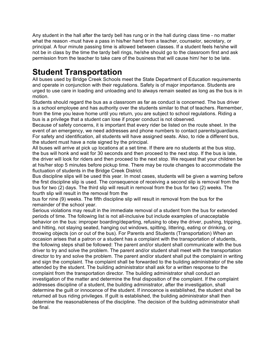Any student in the hall after the tardy bell has rung or in the hall during class time - no matter what the reason -must have a pass in his/her hand from a teacher, counselor, secretary, or principal. A four minute passing time is allowed between classes. If a student feels he/she will not be in class by the time the tardy bell rings, he/she should go to the classroom first and ask permission from the teacher to take care of the business that will cause him/ her to be late.

# **Student Transportation**

All buses used by Bridge Creek Schools meet the State Department of Education requirements and operate in conjunction with their regulations. Safety is of major importance. Students are urged to use care in loading and unloading and to always remain seated as long as the bus is in motion.

Students should regard the bus as a classroom as far as conduct is concerned. The bus driver is a school employee and has authority over the students similar to that of teachers. Remember, from the time you leave home until you return, you are subject to school regulations. Riding a bus is a privilege that a student can lose if proper conduct is not observed.

Because of safety concerns, it is important that every rider be listed on the route sheet. In the event of an emergency, we need addresses and phone numbers to contact parents/guardians. For safety and identification, all students will have assigned seats. Also, to ride a different bus, the student must have a note signed by the principal.

All buses will arrive at pick up locations at a set time. If there are no students at the bus stop, the bus will honk and wait for 30 seconds and then proceed to the next stop. If the bus is late, the driver will look for riders and then proceed to the next stop. We request that your children be at his/her stop 5 minutes before pickup time. There may be route changes to accommodate the fluctuation of students in the Bridge Creek District.

Bus discipline slips will be used this year. In most cases, students will be given a warning before the first discipline slip is used. The consequence of receiving a second slip is removal from the bus for two (2) days. The third slip will result in removal from the bus for two (2) weeks. The fourth slip will result in the removal from the

bus for nine (9) weeks. The fifth discipline slip will result in removal from the bus for the remainder of the school year.

Serious violations may result in the immediate removal of a student from the bus for extended periods of time. The following list is not all-inclusive but include examples of unacceptable behavior on the bus: improper boarding/departing, refusing to obey the driver, pushing, tripping, and hitting, not staying seated, hanging out windows, spitting, littering, eating or drinking, or throwing objects (on or out of the bus). For Parents and Students (Transportation) When an occasion arises that a patron or a student has a complaint with the transportation of students, the following steps shall be followed: The parent and/or student shall communicate with the bus driver to try and solve the problem. The parent and/or student shall meet with the transportation director to try and solve the problem. The parent and/or student shall put the complaint in writing and sign the complaint. The complaint shall be forwarded to the building administrator of the site attended by the student. The building administrator shall ask for a written response to the complaint from the transportation director. The building administrator shall conduct an investigation of the matter and determine the final disposition of the complaint. If the complaint addresses discipline of a student, the building administrator, after the investigation, shall determine the guilt or innocence of the student. If innocence is established, the student shall be returned all bus riding privileges. If guilt is established, the building administrator shall then determine the reasonableness of the discipline. The decision of the building administrator shall be final.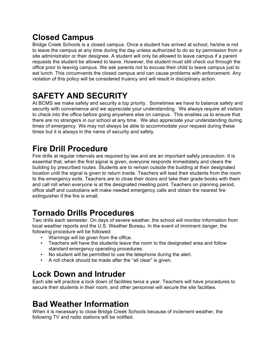# **Closed Campus**

Bridge Creek Schools is a closed campus. Once a student has arrived at school, he/she is not to leave the campus at any time during the day unless authorized to do so by permission from a site administrator or their designee. A student will only be allowed to leave campus if a parent requests the student be allowed to leave. However, the student must still check out through the office prior to leaving campus. We ask parents not to excuse their child to leave campus just to eat lunch. This circumvents the closed campus and can cause problems with enforcement. Any violation of this policy will be considered truancy and will result in disciplinary action.

# **SAFETY AND SECURITY**

At BCMS we make safety and security a top priority. Sometimes we have to balance safety and security with convenience and we appreciate your understanding. We always require all visitors to check into the office before going anywhere else on campus. This enables us to ensure that there are no strangers in our school at any time. We also appreciate your understanding during times of emergency. We may not always be able to accommodate your request during these times but it is always in the name of security and safety.

# **Fire Drill Procedure**

Fire drills at regular intervals are required by law and are an important safety precaution. It is essential that, when the first signal is given, everyone responds immediately and clears the building by prescribed routes. Students are to remain outside the building at their designated location until the signal is given to return inside. Teachers will lead their students from the room to the emergency exits. Teachers are to close their doors and take their grade books with them and call roll when everyone is at the designated meeting point. Teachers on planning period, office staff and custodians will make needed emergency calls and obtain the nearest fire extinguisher if the fire is small.

# **Tornado Drills Procedures**

Two drills each semester. On days of severe weather, the school will monitor information from local weather reports and the U.S. Weather Bureau. In the event of imminent danger, the following procedure will be followed:

- Warnings will be given from the office.
- Teachers will have the students leave the room to the designated area and follow standard emergency operating procedures.
- No student will be permitted to use the telephone during the alert.
- A roll check should be made after the "all clear" is given.

### **Lock Down and Intruder**

Each site will practice a lock down of facilities twice a year. Teachers will have procedures to secure their students in their room, and other personnel will secure the site facilities.

### **Bad Weather Information**

When it is necessary to close Bridge Creek Schools because of inclement weather, the following TV and radio stations will be notified.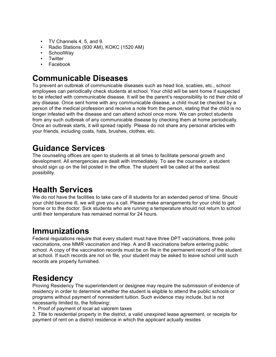- TV Channels 4, 5, and 9.
- Radio Stations (930 AM), KOKC (1520 AM)
- SchoolWay
- Twitter
- Facebook

### **Communicable Diseases**

To prevent an outbreak of communicable diseases such as head lice, scabies, etc., school employees can periodically check students at school. Your child will be sent home if suspected to be infected with communicable disease. It will be the parent's responsibility to rid their child of any disease. Once sent home with any communicable disease, a child must be checked by a person of the medical profession and receive a note from the person, stating that the child is no longer infested with the disease and can attend school once more. We can protect students from any such outbreak of any communicable disease by checking them at home periodically. Once an outbreak starts, it will spread rapidly. Please do not share any personal articles with your friends, including coats, hats, brushes, clothes, etc.

# **Guidance Services**

The counseling offices are open to students at all times to facilitate personal growth and development. All emergencies are dealt with immediately. To see the counselor, a student should sign up on the list posted in the office. The student will be called at the earliest possibility.

### **Health Services**

We do not have the facilities to take care of ill students for an extended period of time. Should your child become ill, we will give you a call. Please make arrangements for your child to get home or to the doctor. Sick students who are running a temperature should not return to school until their temperature has remained normal for 24 hours.

### **Immunizations**

Federal regulations require that every student must have three DPT vaccinations, three polio vaccinations, one MMR vaccination and Hep. A and B vaccinations before entering public school. A copy of the vaccination records must be on file in the permanent record of the student at school. If such records are not on file, your student may be asked to leave school until such records are properly furnished.

### **Residency**

Proving Residency The superintendent or designee may require the submission of evidence of residency in order to determine whether the student is eligible to attend the public schools or programs without payment of nonresident tuition. Such evidence may include, but is not necessarily limited to, the following:

1. Proof of payment of local ad valorem taxes

2. Title to residential property in the district, a valid unexpired lease agreement, or receipts for payment of rent on a district residence in which the applicant actually resides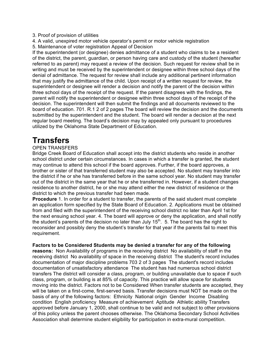- 3. Proof of provision of utilities
- 4. A valid, unexpired motor vehicle operator's permit or motor vehicle registration
- 5. Maintenance of voter registration Appeal of Decision

If the superintendent (or designee) denies admittance of a student who claims to be a resident of the district, the parent, guardian, or person having care and custody of the student (hereafter referred to as parent) may request a review of the decision. Such request for review shall be in writing and must be received by the superintendent or designee within three school days of the denial of admittance. The request for review shall include any additional pertinent information that may justify the admittance of the child. Upon receipt of a written request for review, the superintendent or designee will render a decision and notify the parent of the decision within three school days of the receipt of the request. If the parent disagrees with the findings, the parent will notify the superintendent or designee within three school days of the receipt of the decision. The superintendent will then submit the findings and all documents reviewed to the board of education. 701. R.1 2 of 2 pages The board will review the decision and the documents submitted by the superintendent and the student. The board will render a decision at the next regular board meeting. The board's decision may by appealed only pursuant to procedures utilized by the Oklahoma State Department of Education.

### **Transfers**

#### OPEN TRANSFERS

Bridge Creek Board of Education shall accept into the district students who reside in another school district under certain circumstances. In cases in which a transfer is granted, the student may continue to attend this school if the board approves. Further, if the board approves, a brother or sister of that transferred student may also be accepted. No student may transfer into the district if he or she has transferred before in the same school year. No student may transfer out of the district in the same year that he or she transferred in. However, if a student changes residence to another district, he or she may attend either the new district of residence or the district to which the previous transfer had been made.

**Procedure** 1. In order for a student to transfer, the parents of the said student must complete an application form specified by the State Board of Education. 2. Applications must be obtained from and filed with the superintendent of the receiving school district no later than April 1st for the next ensuing school year. 4. The board will approve or deny the application, and shall notify the student's parents of the decision no later than July  $15<sup>th</sup>$ . 5. The board has the right to reconsider and possibly deny the student's transfer for that year if the parents fail to meet this requirement.

#### **Factors to be Considered Students may be denied a transfer for any of the following**

**reasons:** Non Availability of programs in the receiving district No availability of staff in the receiving district No availability of space in the receiving district The student's record includes documentation of major discipline problems 703 2 of 3 pages The student's record includes documentation of unsatisfactory attendance The student has had numerous school district transfers The district will consider a class, program, or building unavailable due to space if such class, program, or building is at 85% of capacity. This practice will allow space for students moving into the district. Factors not to be Considered When transfer students are accepted, they will be taken on a first-come, first-served basis. Transfer decisions must NOT be made on the basis of any of the following factors: Ethnicity National origin Gender Income Disabling condition English proficiency Measure of achievement Aptitude Athletic ability Transfers approved before January 1, 2000, shall continue to be valid and not subject to other provisions of this policy unless the parent chooses otherwise. The Oklahoma Secondary School Activities Association shall determine student eligibility for participation in extra-mural competition.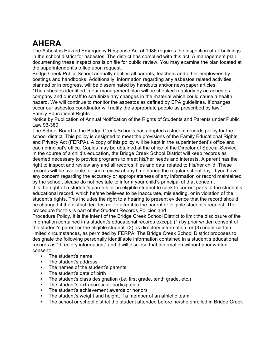# **AHERA**

The Asbestos Hazard Emergency Response Act of 1986 requires the inspection of all buildings in the school district for asbestos. The district has complied with this act. A management plan documenting these inspections is on file for public review. You may examine the plan located at the superintendent's office upon request.

Bridge Creek Public School annually notifies all parents, teachers and other employees by postings and handbooks. Additionally, information regarding any asbestos related activities, planned or in progress, will be disseminated by handouts and/or newspaper articles.

"The asbestos identified in our management plan will be checked regularly by an asbestos company and our staff to scrutinize any changes in the material which could cause a health hazard. We will continue to monitor the asbestos as defined by EPA guidelines. If changes occur our asbestos coordinator will notify the appropriate people as prescribed by law." Family Educational Rights

Notice by Publication of Annual Notification of the Rights of Students and Parents under Public Law 93-380

The School Board of the Bridge Creek Schools has adopted a student records policy for the school district. This policy is designed to meet the provisions of the Family Educational Rights and Privacy Act (FERPA). A copy of this policy will be kept in the superintendent's office and each principal's office. Copies may be obtained at the office of the Director of Special Service. In the course of a child's education, the Bridge Creek School District will keep records as deemed necessary to provide programs to meet his/her needs and interests. A parent has the right to inspect and review any and all records, files and data related to his/her child. These records will be available for such review at any time during the regular school day. If you have any concern regarding the accuracy or appropriateness of any information or record maintained by the school, please do not hesitate to inform your child's principal of that concern.

It is the right of a student's parents or an eligible student to seek to correct parts of the student's educational record, which he/she believes to be inaccurate, misleading, or in violation of the student's rights. This includes the right to a hearing to present evidence that the record should be changed if the district decides not to alter it to the parent or eligible student's request. The procedure for this is part of the Student Records Policies and

Procedure Policy. It is the intent of the Bridge Creek School District to limit the disclosure of the information contained in a student's educational records except: (1) by prior written consent of the student's parent or the eligible student, (2) as directory information, or (3) under certain limited circumstances, as permitted by FERPA. The Bridge Creek School District proposes to designate the following personally identifiable information contained in a student's educational records as "directory information," and it will disclose that information without prior written consent:

- The student's name
- The student's address
- The names of the student's parents
- The student's date of birth<br>• The student's class design
- The student's class designation (i.e. first grade, tenth grade, etc.)
- The student's extracurricular participation
- The student's achievement awards or honors
- The student's weight and height, if a member of an athletic team
- The school or school district the student attended before he/she enrolled in Bridge Creek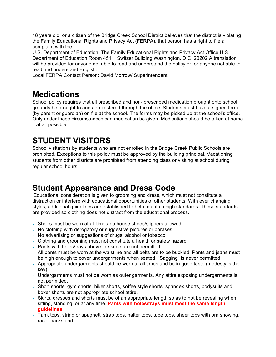18 years old, or a citizen of the Bridge Creek School District believes that the district is violating the Family Educational Rights and Privacy Act (FERPA), that person has a right to file a complaint with the

U.S. Department of Education. The Family Educational Rights and Privacy Act Office U.S. Department of Education Room 4511, Switzer Building Washington, D.C. 20202 A translation will be provided for anyone not able to read and understand the policy or for anyone not able to read and understand English.

Local FERPA Contact Person: David Morrow/ Superintendent.

### **Medications**

School policy requires that all prescribed and non- prescribed medication brought onto school grounds be brought to and administered through the office. Students must have a signed form (by parent or guardian) on file at the school. The forms may be picked up at the school's office. Only under these circumstances can medication be given. Medications should be taken at home if at all possible.

# **STUDENT VISITORS**

School visitations by students who are not enrolled in the Bridge Creek Public Schools are prohibited. Exceptions to this policy must be approved by the building principal. Vacationing students from other districts are prohibited from attending class or visiting at school during regular school hours.

### **Student Appearance and Dress Code**

Educational consideration is given to grooming and dress, which must not constitute a distraction or interfere with educational opportunities of other students. With ever changing styles, additional guidelines are established to help maintain high standards. These standards are provided so clothing does not distract from the educational process.

- Shoes must be worn at all times-no house shoes/slippers allowed
- No clothing with derogatory or suggestive pictures or phrases
- No advertising or suggestions of drugs, alcohol or tobacco
- Clothing and grooming must not constitute a health or safety hazard
- Pants with holes/frays above the knee are not permitted
- All pants must be worn at the waistline and all belts are to be buckled. Pants and jeans must be high enough to cover undergarments when seated. "Sagging" is never permitted.
- Appropriate undergarments should be worn at all times and be in good taste (modesty is the key).
- Undergarments must not be worn as outer garments. Any attire exposing undergarments is not permitted.
- Short shorts, gym shorts, biker shorts, soffee style shorts, spandex shorts, bodysuits and boxer shorts are not appropriate school attire.
- Skirts, dresses and shorts must be of an appropriate length so as to not be revealing when sitting, standing, or at any time. **Pants with holes/frays must meet the same length guidelines**.
- Tank tops, string or spaghetti strap tops, halter tops, tube tops, sheer tops with bra showing, racer backs and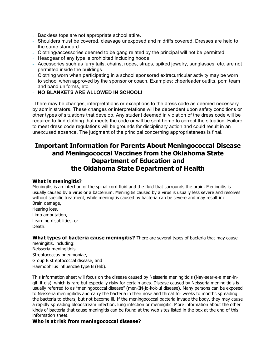- Backless tops are not appropriate school attire.
- Shoulders must be covered, cleavage unexposed and midriffs covered. Dresses are held to the same standard.
- Clothing/accessories deemed to be gang related by the principal will not be permitted.
- Headgear of any type is prohibited including hoods
- Accessories such as furry tails, chains, ropes, straps, spiked jewelry, sunglasses, etc. are not permitted inside the buildings.
- Clothing worn when participating in a school sponsored extracurricular activity may be worn to school when approved by the sponsor or coach. Examples: cheerleader outfits, pom team and band uniforms, etc.
- **NO BLANKETS ARE ALLOWED IN SCHOOL!**

There may be changes, interpretations or exceptions to the dress code as deemed necessary by administrators. These changes or interpretations will be dependent upon safety conditions or other types of situations that develop. Any student deemed in violation of the dress code will be required to find clothing that meets the code or will be sent home to correct the situation. Failure to meet dress code regulations will be grounds for disciplinary action and could result in an unexcused absence. The judgment of the principal concerning appropriateness is final.

#### **Important Information for Parents About Meningococcal Disease and Meningococcal Vaccines from the Oklahoma State Department of Education and the Oklahoma State Department of Health**

#### **What is meningitis?**

Meningitis is an infection of the spinal cord fluid and the fluid that surrounds the brain. Meningitis is usually caused by a virus or a bacterium. Meningitis caused by a virus is usually less severe and resolves without specific treatment, while meningitis caused by bacteria can be severe and may result in: Brain damage, Hearing loss,

Limb amputation, Learning disabilities, or Death.

**What types of bacteria cause meningitis?** There are several types of bacteria that may cause

meningitis, including: Neisseria meningitidis Streptococcus pneumoniae, Group B streptococcal disease, and Haemophilus influenzae type B (Hib).

This information sheet will focus on the disease caused by Neisseria meningitidis (Nay-sear-e-a men-ingit–it-dis), which is rare but especially risky for certain ages. Disease caused by Neisseria meningitidis is usually referred to as "meningococcal disease" (men-IN-jo-kok-ul disease). Many persons can be exposed to Neisseria meningitidis and carry the bacteria in their nose and throat for weeks to months spreading the bacteria to others, but not become ill. If the meningococcal bacteria invade the body, they may cause a rapidly spreading bloodstream infection, lung infection or meningitis. More information about the other kinds of bacteria that cause meningitis can be found at the web sites listed in the box at the end of this information sheet.

#### **Who is at risk from meningococcal disease?**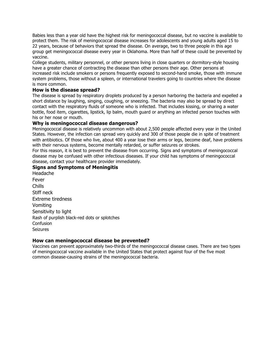Babies less than a year old have the highest risk for meningococcal disease, but no vaccine is available to protect them. The risk of meningococcal disease increases for adolescents and young adults aged 15 to 22 years, because of behaviors that spread the disease. On average, two to three people in this age group get meningococcal disease every year in Oklahoma. More than half of these could be prevented by vaccine.

College students, military personnel, or other persons living in close quarters or dormitory-style housing have a greater chance of contracting the disease than other persons their age. Other persons at increased risk include smokers or persons frequently exposed to second-hand smoke, those with immune system problems, those without a spleen, or international travelers going to countries where the disease is more common.

#### **How is the disease spread?**

The disease is spread by respiratory droplets produced by a person harboring the bacteria and expelled a short distance by laughing, singing, coughing, or sneezing. The bacteria may also be spread by direct contact with the respiratory fluids of someone who is infected. That includes kissing, or sharing a water bottle, food item, cigarettes, lipstick, lip balm, mouth guard or anything an infected person touches with his or her nose or mouth.

#### **Why is meningococcal disease dangerous?**

Meningococcal disease is relatively uncommon with about 2,500 people affected every year in the United States. However, the infection can spread very quickly and 300 of those people die in spite of treatment with antibiotics. Of those who live, about 400 a year lose their arms or legs, become deaf, have problems with their nervous systems, become mentally retarded, or suffer seizures or strokes.

For this reason, it is best to prevent the disease from occurring. Signs and symptoms of meningococcal disease may be confused with other infectious diseases. If your child has symptoms of meningococcal disease, contact your healthcare provider immediately.

#### **Signs and Symptoms of Meningitis**

Headache Fever Chills Stiff neck Extreme tiredness Vomiting Sensitivity to light Rash of purplish black-red dots or splotches **Confusion** Seizures

#### **How can meningococcal disease be prevented?**

Vaccines can prevent approximately two-thirds of the meningococcal disease cases. There are two types of meningococcal vaccine available in the United States that protect against four of the five most common disease-causing strains of the meningococcal bacteria.